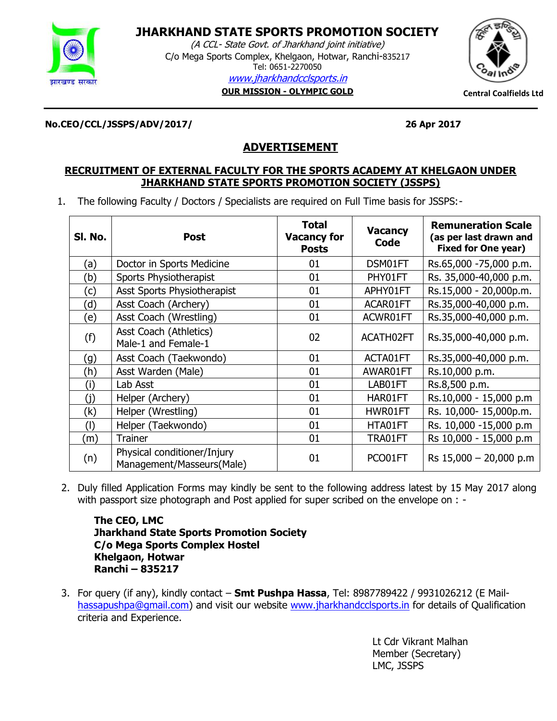

# **JHARKHAND STATE SPORTS PROMOTION SOCIETY**

**JHARKHAND STATE SPORTS PROMOTION**  (A CCL- State Govt. of Jharkhand joint initiative) C/o Mega Sports Complex, Khelgaon, Hotwar, Ranchi-835217 Tel: 0651-2270050<br>Tel: 0651-2270050 [www.jharkhandcclsports.in](http://www.jharkhandcclsports.in/) **OUR MISSION - OLYMPIC GOLD Central Coalfields Ltd**



**No.CEO/CCL/JSSPS/ADV/2017/ 26 Apr 2017**

# **ADVERTISEMENT**

# **RECRUITMENT OF EXTERNAL FACULTY FOR THE SPORTS ACADEMY AT KHELGAON UNDER JHARKHAND STATE SPORTS PROMOTION SOCIETY (JSSPS)**

1. The following Faculty / Doctors / Specialists are required on Full Time basis for JSSPS:-

| SI. No. | <b>Post</b>                                              | <b>Total</b><br><b>Vacancy for</b><br><b>Posts</b> | <b>Vacancy</b><br>Code | <b>Remuneration Scale</b><br>(as per last drawn and<br><b>Fixed for One year)</b> |
|---------|----------------------------------------------------------|----------------------------------------------------|------------------------|-----------------------------------------------------------------------------------|
| (a)     | Doctor in Sports Medicine                                | 01                                                 | DSM01FT                | Rs.65,000 -75,000 p.m.                                                            |
| (b)     | Sports Physiotherapist                                   | 01                                                 | PHY01FT                | Rs. 35,000-40,000 p.m.                                                            |
| (c)     | Asst Sports Physiotherapist                              | 01                                                 | APHY01FT               | Rs.15,000 - 20,000p.m.                                                            |
| (d)     | Asst Coach (Archery)                                     | 01                                                 | ACAR01FT               | Rs.35,000-40,000 p.m.                                                             |
| (e)     | Asst Coach (Wrestling)                                   | 01                                                 | ACWR01FT               | Rs.35,000-40,000 p.m.                                                             |
| (f)     | Asst Coach (Athletics)<br>Male-1 and Female-1            | 02                                                 | ACATH02FT              | Rs.35,000-40,000 p.m.                                                             |
| (g)     | Asst Coach (Taekwondo)                                   | 01                                                 | ACTA01FT               | Rs.35,000-40,000 p.m.                                                             |
| (h)     | Asst Warden (Male)                                       | 01                                                 | AWAR01FT               | Rs.10,000 p.m.                                                                    |
| (i)     | Lab Asst                                                 | 01                                                 | LAB01FT                | Rs.8,500 p.m.                                                                     |
| (i)     | Helper (Archery)                                         | 01                                                 | HAR01FT                | Rs.10,000 - 15,000 p.m                                                            |
| (k)     | Helper (Wrestling)                                       | 01                                                 | HWR01FT                | Rs. 10,000- 15,000p.m.                                                            |
| (I)     | Helper (Taekwondo)                                       | 01                                                 | HTA01FT                | Rs. 10,000 -15,000 p.m                                                            |
| (m)     | <b>Trainer</b>                                           | 01                                                 | TRA01FT                | Rs 10,000 - 15,000 p.m                                                            |
| (n)     | Physical conditioner/Injury<br>Management/Masseurs(Male) | 01                                                 | PCO01FT                | Rs $15,000 - 20,000$ p.m                                                          |

2. Duly filled Application Forms may kindly be sent to the following address latest by 15 May 2017 along with passport size photograph and Post applied for super scribed on the envelope on : -

**The CEO, LMC Jharkhand State Sports Promotion Society C/o Mega Sports Complex Hostel Khelgaon, Hotwar Ranchi – 835217**

3. For query (if any), kindly contact – **Smt Pushpa Hassa**, Tel: 8987789422 / 9931026212 (E Mail[hassapushpa@gmail.com\)](mailto:hassapushpa@gmail.com) and visit our website [www.jharkhandcclsports.in](http://www.jharkhandcclsports.in/) for details of Qualification criteria and Experience.

> Lt Cdr Vikrant Malhan Member (Secretary) LMC, JSSPS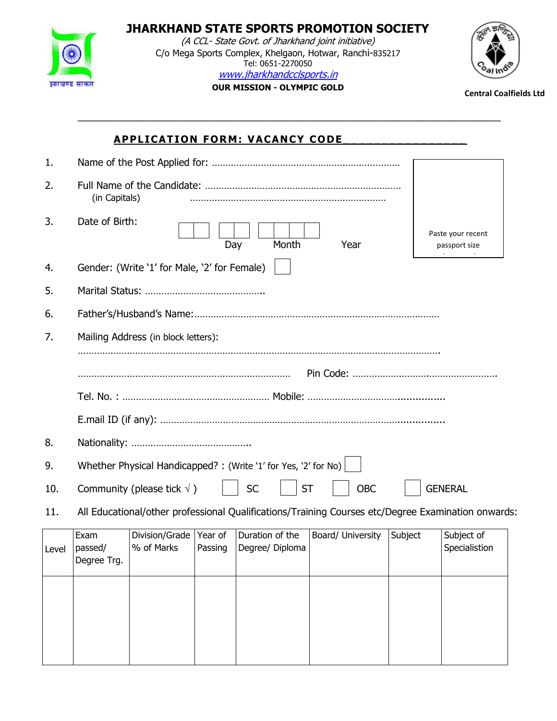

**JHARKHAND STATE SPORTS PROMOTION SOCIETY** (A CCL- State Govt. of Jharkhand joint initiative) C/o Mega Sports Complex, Khelgaon, Hotwar, Ranchi-835217 Tel: 0651-2270050 [www.jharkhandcclsports.in](http://www.jharkhandcclsports.in/)



**OUR MISSION - OLYMPIC GOLD Central Coalfields Ltd**

\_\_\_\_\_\_\_\_\_\_\_\_\_\_\_\_\_\_\_\_\_\_\_\_\_\_\_\_\_\_\_\_\_\_\_\_\_\_\_\_\_\_\_\_\_\_\_\_\_\_\_\_\_\_\_\_\_\_\_\_\_\_\_\_\_\_\_\_\_\_\_

# **APPLICATION FORM: VACANCY CODE**

| 1.    |                                |                                                                 |         |                                    |           |                   |         |                                                                                                    |  |
|-------|--------------------------------|-----------------------------------------------------------------|---------|------------------------------------|-----------|-------------------|---------|----------------------------------------------------------------------------------------------------|--|
| 2.    | (in Capitals)                  |                                                                 |         |                                    |           |                   |         |                                                                                                    |  |
| 3.    | Date of Birth:                 |                                                                 | Day     |                                    | Month     | Year              |         | Paste your recent<br>passport size                                                                 |  |
| 4.    |                                | Gender: (Write '1' for Male, '2' for Female)                    |         |                                    |           |                   |         |                                                                                                    |  |
| 5.    |                                |                                                                 |         |                                    |           |                   |         |                                                                                                    |  |
| 6.    |                                |                                                                 |         |                                    |           |                   |         |                                                                                                    |  |
| 7.    |                                | Mailing Address (in block letters):                             |         |                                    |           |                   |         |                                                                                                    |  |
|       |                                |                                                                 |         |                                    |           |                   |         |                                                                                                    |  |
|       |                                |                                                                 |         |                                    |           |                   |         |                                                                                                    |  |
|       |                                |                                                                 |         |                                    |           |                   |         |                                                                                                    |  |
| 8.    |                                |                                                                 |         |                                    |           |                   |         |                                                                                                    |  |
| 9.    |                                | Whether Physical Handicapped? : (Write '1' for Yes, '2' for No) |         |                                    |           |                   |         |                                                                                                    |  |
| 10.   |                                | Community (please tick $\sqrt{}$ )                              |         | <b>SC</b>                          | <b>ST</b> | <b>OBC</b>        |         | <b>GENERAL</b>                                                                                     |  |
| 11.   |                                |                                                                 |         |                                    |           |                   |         | All Educational/other professional Qualifications/Training Courses etc/Degree Examination onwards: |  |
| Level | Exam<br>passed/<br>Degree Trg. | Division/Grade   Year of<br>% of Marks                          | Passing | Duration of the<br>Degree/ Diploma |           | Board/ University | Subject | Subject of<br>Specialistion                                                                        |  |
|       |                                |                                                                 |         |                                    |           |                   |         |                                                                                                    |  |
|       |                                |                                                                 |         |                                    |           |                   |         |                                                                                                    |  |
|       |                                |                                                                 |         |                                    |           |                   |         |                                                                                                    |  |
|       |                                |                                                                 |         |                                    |           |                   |         |                                                                                                    |  |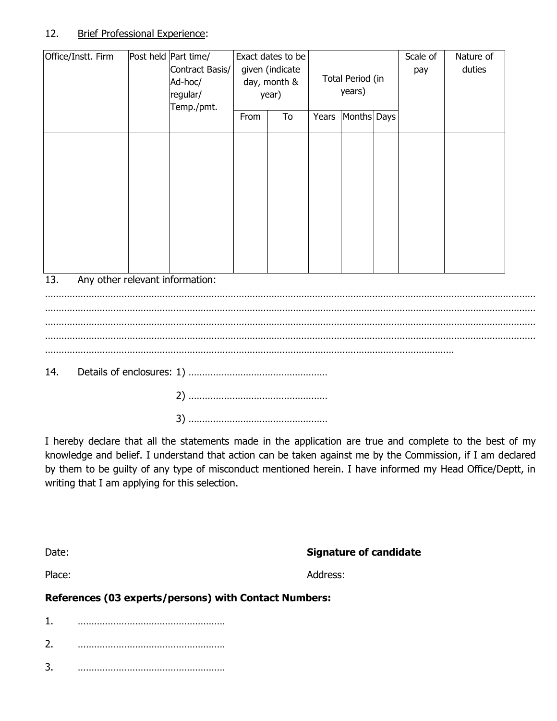## 12. Brief Professional Experience:

| Office/Instt. Firm | Post held Part time/<br>Contract Basis/<br>Ad-hoc/<br>regular/<br>Temp./pmt. |      | Exact dates to be<br>given (indicate<br>day, month &<br>year) |       | Total Period (in<br>years) | Scale of<br>pay | Nature of<br>duties |
|--------------------|------------------------------------------------------------------------------|------|---------------------------------------------------------------|-------|----------------------------|-----------------|---------------------|
|                    |                                                                              | From | To                                                            | Years | Months Days                |                 |                     |
|                    |                                                                              |      |                                                               |       |                            |                 |                     |
| 13.                | Any other relevant information:                                              |      |                                                               |       |                            |                 |                     |
|                    |                                                                              |      |                                                               |       |                            |                 |                     |
|                    |                                                                              |      |                                                               |       |                            |                 |                     |
|                    |                                                                              |      |                                                               |       |                            |                 |                     |

14. Details of enclosures: 1) ……………………………………………

2) …………………………………………… 3) ……………………………………………

I hereby declare that all the statements made in the application are true and complete to the best of my knowledge and belief. I understand that action can be taken against me by the Commission, if I am declared by them to be guilty of any type of misconduct mentioned herein. I have informed my Head Office/Deptt, in writing that I am applying for this selection.

|                          | ÷ |
|--------------------------|---|
| I<br>. .<br>×<br>×<br>۰, |   |

**Signature of candidate** 

Place: Address:

**References (03 experts/persons) with Contact Numbers:**

1. ……………………………………………… 2. ……………………………………………… 3. ………………………………………………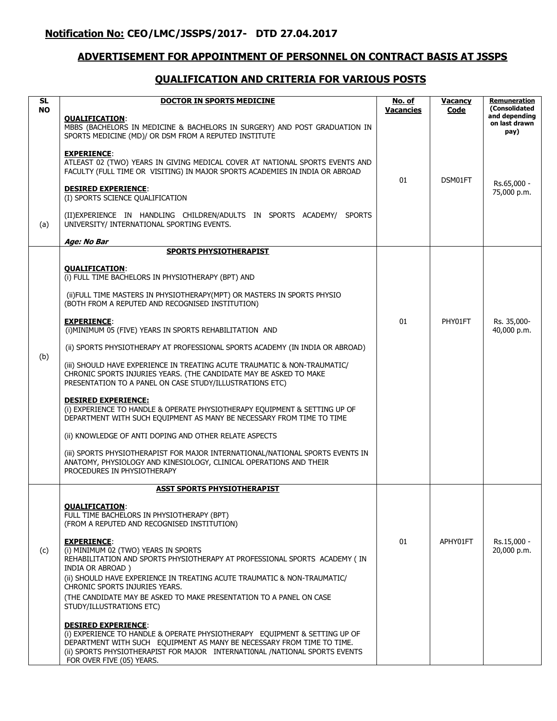### **ADVERTISEMENT FOR APPOINTMENT OF PERSONNEL ON CONTRACT BASIS AT JSSPS**

#### **QUALIFICATION AND CRITERIA FOR VARIOUS POSTS**

| <b>SL</b><br><b>NO</b> | <b>DOCTOR IN SPORTS MEDICINE</b><br><b>QUALIFICATION:</b><br>MBBS (BACHELORS IN MEDICINE & BACHELORS IN SURGERY) AND POST GRADUATION IN<br>SPORTS MEDICINE (MD)/ OR DSM FROM A REPUTED INSTITUTE                                                                                                                                                                                                                                                                                                    | <u>No. of</u><br><b>Vacancies</b> | <b>Vacancy</b><br>Code | <b>Remuneration</b><br>(Consolidated<br>and depending<br>on last drawn<br>pay) |
|------------------------|-----------------------------------------------------------------------------------------------------------------------------------------------------------------------------------------------------------------------------------------------------------------------------------------------------------------------------------------------------------------------------------------------------------------------------------------------------------------------------------------------------|-----------------------------------|------------------------|--------------------------------------------------------------------------------|
| (a)                    | <b>EXPERIENCE:</b><br>ATLEAST 02 (TWO) YEARS IN GIVING MEDICAL COVER AT NATIONAL SPORTS EVENTS AND<br>FACULTY (FULL TIME OR VISITING) IN MAJOR SPORTS ACADEMIES IN INDIA OR ABROAD<br><b>DESIRED EXPERIENCE:</b><br>(I) SPORTS SCIENCE QUALIFICATION<br>(II) EXPERIENCE IN HANDLING CHILDREN/ADULTS IN SPORTS ACADEMY/ SPORTS<br>UNIVERSITY/ INTERNATIONAL SPORTING EVENTS.<br>Age: No Bar                                                                                                          | 01                                | DSM01FT                | Rs.65,000 -<br>75,000 p.m.                                                     |
|                        | <b>SPORTS PHYSIOTHERAPIST</b>                                                                                                                                                                                                                                                                                                                                                                                                                                                                       |                                   |                        |                                                                                |
|                        | <b>QUALIFICATION:</b><br>(i) FULL TIME BACHELORS IN PHYSIOTHERAPY (BPT) AND<br>(ii)FULL TIME MASTERS IN PHYSIOTHERAPY(MPT) OR MASTERS IN SPORTS PHYSIO<br>(BOTH FROM A REPUTED AND RECOGNISED INSTITUTION)                                                                                                                                                                                                                                                                                          |                                   |                        |                                                                                |
|                        | <b>EXPERIENCE:</b><br>(i) MINIMUM 05 (FIVE) YEARS IN SPORTS REHABILITATION AND<br>(ii) SPORTS PHYSIOTHERAPY AT PROFESSIONAL SPORTS ACADEMY (IN INDIA OR ABROAD)                                                                                                                                                                                                                                                                                                                                     | 01                                | PHY01FT                | Rs. 35,000-<br>40.000 p.m.                                                     |
| (b)                    | (iii) SHOULD HAVE EXPERIENCE IN TREATING ACUTE TRAUMATIC & NON-TRAUMATIC/<br>CHRONIC SPORTS INJURIES YEARS. (THE CANDIDATE MAY BE ASKED TO MAKE<br>PRESENTATION TO A PANEL ON CASE STUDY/ILLUSTRATIONS ETC)                                                                                                                                                                                                                                                                                         |                                   |                        |                                                                                |
|                        | <b>DESIRED EXPERIENCE:</b><br>(i) EXPERIENCE TO HANDLE & OPERATE PHYSIOTHERAPY EQUIPMENT & SETTING UP OF<br>DEPARTMENT WITH SUCH EQUIPMENT AS MANY BE NECESSARY FROM TIME TO TIME                                                                                                                                                                                                                                                                                                                   |                                   |                        |                                                                                |
|                        | (ii) KNOWLEDGE OF ANTI DOPING AND OTHER RELATE ASPECTS                                                                                                                                                                                                                                                                                                                                                                                                                                              |                                   |                        |                                                                                |
|                        | (iii) SPORTS PHYSIOTHERAPIST FOR MAJOR INTERNATIONAL/NATIONAL SPORTS EVENTS IN<br>ANATOMY, PHYSIOLOGY AND KINESIOLOGY, CLINICAL OPERATIONS AND THEIR<br>PROCEDURES IN PHYSIOTHERAPY                                                                                                                                                                                                                                                                                                                 |                                   |                        |                                                                                |
|                        | <b>ASST SPORTS PHYSIOTHERAPIST</b>                                                                                                                                                                                                                                                                                                                                                                                                                                                                  |                                   |                        |                                                                                |
| (c)                    | <b>QUALIFICATION:</b><br>FULL TIME BACHELORS IN PHYSIOTHERAPY (BPT)<br>(FROM A REPUTED AND RECOGNISED INSTITUTION)<br><b>EXPERIENCE:</b><br>(i) MINIMUM 02 (TWO) YEARS IN SPORTS<br>REHABILITATION AND SPORTS PHYSIOTHERAPY AT PROFESSIONAL SPORTS ACADEMY (IN<br>INDIA OR ABROAD)<br>(ii) SHOULD HAVE EXPERIENCE IN TREATING ACUTE TRAUMATIC & NON-TRAUMATIC/<br>CHRONIC SPORTS INJURIES YEARS.<br>(THE CANDIDATE MAY BE ASKED TO MAKE PRESENTATION TO A PANEL ON CASE<br>STUDY/ILLUSTRATIONS ETC) | 01                                | APHY01FT               | Rs.15,000 -<br>20,000 p.m.                                                     |
|                        | <b>DESIRED EXPERIENCE:</b><br>(i) EXPERIENCE TO HANDLE & OPERATE PHYSIOTHERAPY EQUIPMENT & SETTING UP OF<br>DEPARTMENT WITH SUCH EQUIPMENT AS MANY BE NECESSARY FROM TIME TO TIME.<br>(ii) SPORTS PHYSIOTHERAPIST FOR MAJOR INTERNATIONAL /NATIONAL SPORTS EVENTS<br>FOR OVER FIVE (05) YEARS.                                                                                                                                                                                                      |                                   |                        |                                                                                |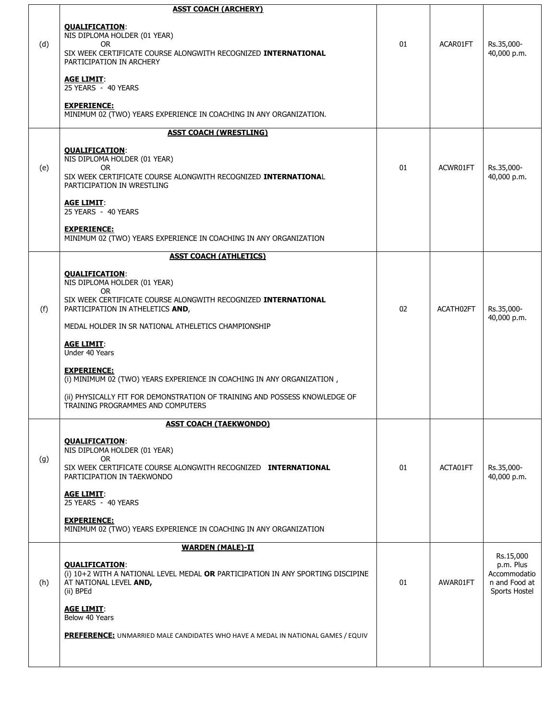|     | <b>ASST COACH (ARCHERY)</b>                                                                                                                                  |    |           |                                                             |
|-----|--------------------------------------------------------------------------------------------------------------------------------------------------------------|----|-----------|-------------------------------------------------------------|
| (d) | <b>QUALIFICATION:</b><br>NIS DIPLOMA HOLDER (01 YEAR)<br>OR.<br>SIX WEEK CERTIFICATE COURSE ALONGWITH RECOGNIZED INTERNATIONAL<br>PARTICIPATION IN ARCHERY   | 01 | ACAR01FT  | Rs.35,000-<br>40,000 p.m.                                   |
|     | <b>AGE LIMIT:</b><br>25 YEARS - 40 YEARS                                                                                                                     |    |           |                                                             |
|     | <b>EXPERIENCE:</b><br>MINIMUM 02 (TWO) YEARS EXPERIENCE IN COACHING IN ANY ORGANIZATION.                                                                     |    |           |                                                             |
|     | <b>ASST COACH (WRESTLING)</b>                                                                                                                                |    |           |                                                             |
| (e) | <b>QUALIFICATION:</b><br>NIS DIPLOMA HOLDER (01 YEAR)<br>OR.<br>SIX WEEK CERTIFICATE COURSE ALONGWITH RECOGNIZED INTERNATIONAL<br>PARTICIPATION IN WRESTLING | 01 | ACWR01FT  | Rs.35,000-<br>40,000 p.m.                                   |
|     | <b>AGE LIMIT:</b><br>25 YEARS - 40 YEARS                                                                                                                     |    |           |                                                             |
|     | <b>EXPERIENCE:</b><br>MINIMUM 02 (TWO) YEARS EXPERIENCE IN COACHING IN ANY ORGANIZATION                                                                      |    |           |                                                             |
|     | <b>ASST COACH (ATHLETICS)</b>                                                                                                                                |    |           |                                                             |
|     | <b>QUALIFICATION:</b><br>NIS DIPLOMA HOLDER (01 YEAR)<br>OR.                                                                                                 |    |           |                                                             |
| (f) | SIX WEEK CERTIFICATE COURSE ALONGWITH RECOGNIZED INTERNATIONAL<br>PARTICIPATION IN ATHELETICS AND,                                                           | 02 | ACATH02FT | Rs.35,000-<br>40,000 p.m.                                   |
|     | MEDAL HOLDER IN SR NATIONAL ATHELETICS CHAMPIONSHIP                                                                                                          |    |           |                                                             |
|     | <b>AGE LIMIT:</b><br>Under 40 Years                                                                                                                          |    |           |                                                             |
|     | <b>EXPERIENCE:</b><br>(i) MINIMUM 02 (TWO) YEARS EXPERIENCE IN COACHING IN ANY ORGANIZATION,                                                                 |    |           |                                                             |
|     | (ii) PHYSICALLY FIT FOR DEMONSTRATION OF TRAINING AND POSSESS KNOWLEDGE OF<br>TRAINING PROGRAMMES AND COMPUTERS                                              |    |           |                                                             |
|     | <b>ASST COACH (TAEKWONDO)</b>                                                                                                                                |    |           |                                                             |
| (g) | <b>QUALIFICATION:</b><br>NIS DIPLOMA HOLDER (01 YEAR)<br>OR.                                                                                                 |    |           |                                                             |
|     | SIX WEEK CERTIFICATE COURSE ALONGWITH RECOGNIZED INTERNATIONAL<br>PARTICIPATION IN TAEKWONDO                                                                 | 01 | ACTA01FT  | Rs.35,000-<br>40,000 p.m.                                   |
|     | <b>AGE LIMIT:</b><br>25 YEARS - 40 YEARS                                                                                                                     |    |           |                                                             |
|     | <b>EXPERIENCE:</b><br>MINIMUM 02 (TWO) YEARS EXPERIENCE IN COACHING IN ANY ORGANIZATION                                                                      |    |           |                                                             |
|     | <b>WARDEN (MALE)-II</b>                                                                                                                                      |    |           | Rs.15,000                                                   |
| (h) | <b>QUALIFICATION:</b><br>(i) 10+2 WITH A NATIONAL LEVEL MEDAL OR PARTICIPATION IN ANY SPORTING DISCIPINE<br>AT NATIONAL LEVEL AND,<br>(ii) BPEd              | 01 | AWAR01FT  | p.m. Plus<br>Accommodatio<br>n and Food at<br>Sports Hostel |
|     | <b>AGE LIMIT:</b><br>Below 40 Years                                                                                                                          |    |           |                                                             |
|     | PREFERENCE: UNMARRIED MALE CANDIDATES WHO HAVE A MEDAL IN NATIONAL GAMES / EQUIV                                                                             |    |           |                                                             |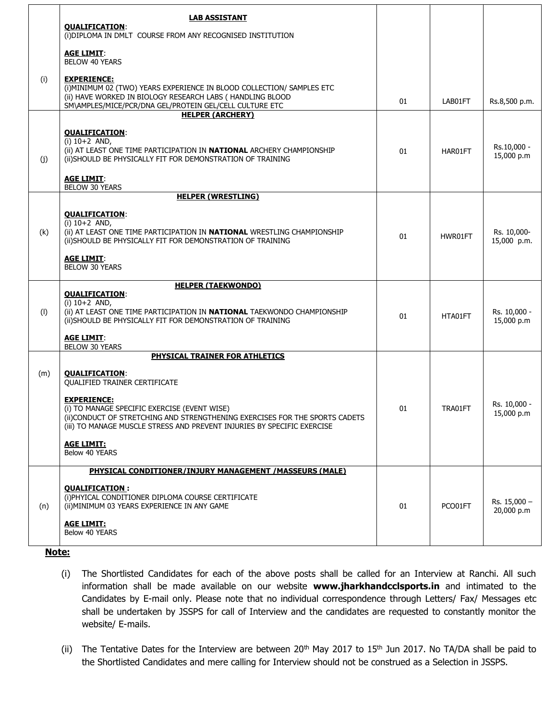|     | <b>LAB ASSISTANT</b><br><b>QUALIFICATION:</b><br>(i) DIPLOMA IN DMLT COURSE FROM ANY RECOGNISED INSTITUTION                                                                                                                   |    |         |                            |  |
|-----|-------------------------------------------------------------------------------------------------------------------------------------------------------------------------------------------------------------------------------|----|---------|----------------------------|--|
|     | <b>AGE LIMIT:</b><br><b>BELOW 40 YEARS</b>                                                                                                                                                                                    |    |         |                            |  |
| (i) | <b>EXPERIENCE:</b><br>(i) MINIMUM 02 (TWO) YEARS EXPERIENCE IN BLOOD COLLECTION/ SAMPLES ETC<br>(ii) HAVE WORKED IN BIOLOGY RESEARCH LABS ( HANDLING BLOOD<br>SM\AMPLES/MICE/PCR/DNA GEL/PROTEIN GEL/CELL CULTURE ETC         | 01 | LAB01FT | Rs.8,500 p.m.              |  |
|     | <b>HELPER (ARCHERY)</b>                                                                                                                                                                                                       |    |         |                            |  |
| (j) | <b>QUALIFICATION:</b><br>$(i) 10+2$ AND,<br>(ii) AT LEAST ONE TIME PARTICIPATION IN NATIONAL ARCHERY CHAMPIONSHIP<br>(ii) SHOULD BE PHYSICALLY FIT FOR DEMONSTRATION OF TRAINING                                              | 01 | HAR01FT | Rs.10,000 -<br>15,000 p.m  |  |
|     | <b>AGE LIMIT:</b><br><b>BELOW 30 YEARS</b>                                                                                                                                                                                    |    |         |                            |  |
|     | <b>HELPER (WRESTLING)</b>                                                                                                                                                                                                     |    |         |                            |  |
| (k) | <b>QUALIFICATION:</b><br>$(i) 10+2$ AND,<br>(ii) AT LEAST ONE TIME PARTICIPATION IN NATIONAL WRESTLING CHAMPIONSHIP<br>(ii) SHOULD BE PHYSICALLY FIT FOR DEMONSTRATION OF TRAINING                                            | 01 | HWR01FT | Rs. 10,000-<br>15,000 p.m. |  |
|     | <b>AGE LIMIT:</b><br><b>BELOW 30 YEARS</b>                                                                                                                                                                                    |    |         |                            |  |
| (1) | <b>HELPER (TAEKWONDO)</b><br><b>QUALIFICATION:</b><br>$(i) 10+2$ AND,<br>(ii) AT LEAST ONE TIME PARTICIPATION IN <b>NATIONAL</b> TAEKWONDO CHAMPIONSHIP<br>(ii) SHOULD BE PHYSICALLY FIT FOR DEMONSTRATION OF TRAINING        | 01 | HTA01FT | Rs. 10,000 -<br>15,000 p.m |  |
|     | <b>AGE LIMIT:</b><br><b>BELOW 30 YEARS</b>                                                                                                                                                                                    |    |         |                            |  |
|     | PHYSICAL TRAINER FOR ATHLETICS                                                                                                                                                                                                |    |         |                            |  |
| (m) | <b>QUALIFICATION:</b><br><b>QUALIFIED TRAINER CERTIFICATE</b>                                                                                                                                                                 |    |         |                            |  |
|     | <b>EXPERIENCE:</b><br>(i) TO MANAGE SPECIFIC EXERCISE (EVENT WISE)<br>(ii) CONDUCT OF STRETCHING AND STRENGTHENING EXERCISES FOR THE SPORTS CADETS<br>(iii) TO MANAGE MUSCLE STRESS AND PREVENT INJURIES BY SPECIFIC EXERCISE | 01 | TRA01FT | Rs. 10,000 -<br>15,000 p.m |  |
|     | <b>AGE LIMIT:</b><br>Below 40 YEARS                                                                                                                                                                                           |    |         |                            |  |
|     | PHYSICAL CONDITIONER/INJURY MANAGEMENT /MASSEURS (MALE)                                                                                                                                                                       |    |         |                            |  |
| (n) | <b>QUALIFICATION:</b><br>(i) PHYICAL CONDITIONER DIPLOMA COURSE CERTIFICATE<br>(ii) MINIMUM 03 YEARS EXPERIENCE IN ANY GAME                                                                                                   | 01 | PCO01FT | Rs. 15,000 -<br>20,000 p.m |  |
|     | <b>AGE LIMIT:</b><br>Below 40 YEARS                                                                                                                                                                                           |    |         |                            |  |
|     |                                                                                                                                                                                                                               |    |         |                            |  |

#### **Note:**

- (i) The Shortlisted Candidates for each of the above posts shall be called for an Interview at Ranchi. All such information shall be made available on our website **www.jharkhandcclsports.in** and intimated to the Candidates by E-mail only. Please note that no individual correspondence through Letters/ Fax/ Messages etc shall be undertaken by JSSPS for call of Interview and the candidates are requested to constantly monitor the website/ E-mails.
- (ii) The Tentative Dates for the Interview are between 20<sup>th</sup> May 2017 to 15<sup>th</sup> Jun 2017. No TA/DA shall be paid to the Shortlisted Candidates and mere calling for Interview should not be construed as a Selection in JSSPS.